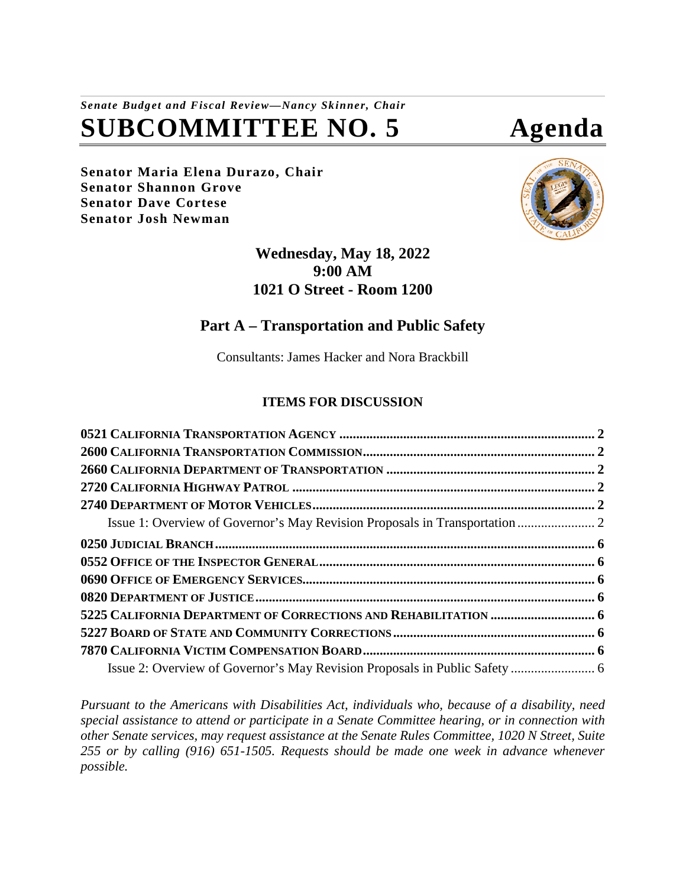# *Senate Budget and Fiscal Review—Nancy Skinner, Chair* **SUBCOMMITTEE NO. 5 Agenda**

**Senator Maria Elena Durazo, Chair Senator Shannon Grove Senator Dave Cortese Senator Josh Newman**



# **Wednesday, May 18, 2022 9:00 AM 1021 O Street - Room 1200**

# **Part A – Transportation and Public Safety**

Consultants: James Hacker and Nora Brackbill

# **ITEMS FOR DISCUSSION**

*Pursuant to the Americans with Disabilities Act, individuals who, because of a disability, need special assistance to attend or participate in a Senate Committee hearing, or in connection with other Senate services, may request assistance at the Senate Rules Committee, 1020 N Street, Suite 255 or by calling (916) 651-1505. Requests should be made one week in advance whenever possible.*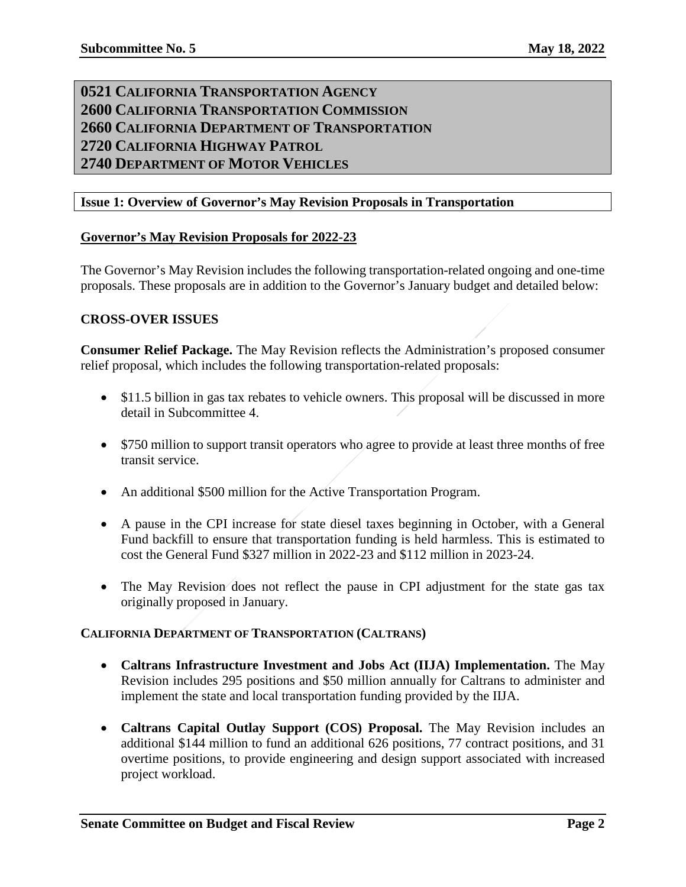# <span id="page-1-3"></span><span id="page-1-2"></span><span id="page-1-1"></span><span id="page-1-0"></span>**0521 CALIFORNIA TRANSPORTATION AGENCY 2600 CALIFORNIA TRANSPORTATION COMMISSION 2660 CALIFORNIA DEPARTMENT OF TRANSPORTATION 2720 CALIFORNIA HIGHWAY PATROL 2740 DEPARTMENT OF MOTOR VEHICLES**

#### <span id="page-1-5"></span><span id="page-1-4"></span>**Issue 1: Overview of Governor's May Revision Proposals in Transportation**

#### **Governor's May Revision Proposals for 2022-23**

The Governor's May Revision includes the following transportation-related ongoing and one-time proposals. These proposals are in addition to the Governor's January budget and detailed below:

#### **CROSS-OVER ISSUES**

**Consumer Relief Package.** The May Revision reflects the Administration's proposed consumer relief proposal, which includes the following transportation-related proposals:

- \$11.5 billion in gas tax rebates to vehicle owners. This proposal will be discussed in more detail in Subcommittee 4.
- \$750 million to support transit operators who agree to provide at least three months of free transit service.
- An additional \$500 million for the Active Transportation Program.
- A pause in the CPI increase for state diesel taxes beginning in October, with a General Fund backfill to ensure that transportation funding is held harmless. This is estimated to cost the General Fund \$327 million in 2022-23 and \$112 million in 2023-24.
- The May Revision does not reflect the pause in CPI adjustment for the state gas tax originally proposed in January.

#### **CALIFORNIA DEPARTMENT OF TRANSPORTATION (CALTRANS)**

- **Caltrans Infrastructure Investment and Jobs Act (IIJA) Implementation.** The May Revision includes 295 positions and \$50 million annually for Caltrans to administer and implement the state and local transportation funding provided by the IIJA.
- **Caltrans Capital Outlay Support (COS) Proposal.** The May Revision includes an additional \$144 million to fund an additional 626 positions, 77 contract positions, and 31 overtime positions, to provide engineering and design support associated with increased project workload.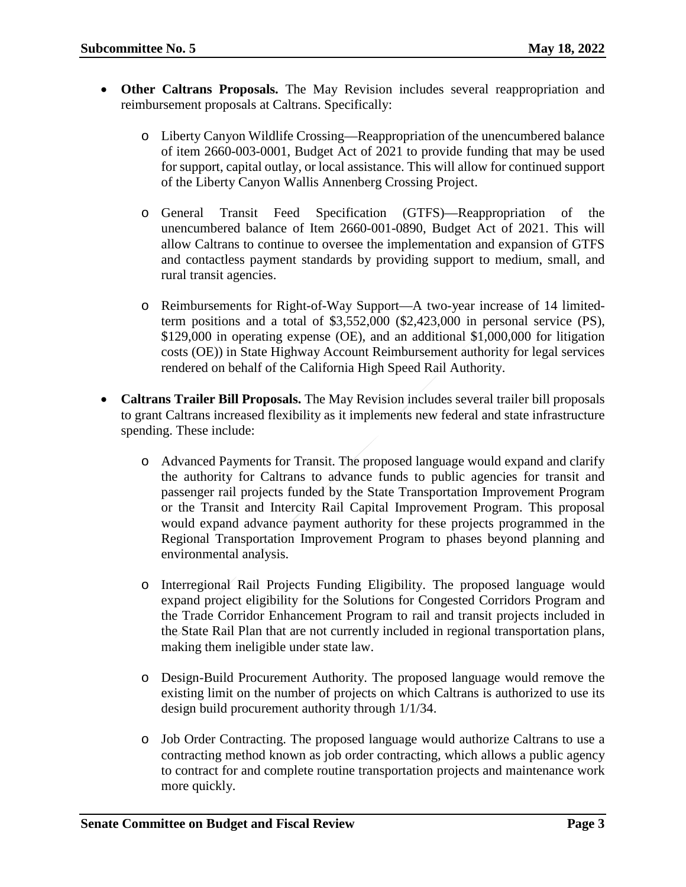- **Other Caltrans Proposals.** The May Revision includes several reappropriation and reimbursement proposals at Caltrans. Specifically:
	- o Liberty Canyon Wildlife Crossing—Reappropriation of the unencumbered balance of item 2660-003-0001, Budget Act of 2021 to provide funding that may be used for support, capital outlay, or local assistance. This will allow for continued support of the Liberty Canyon Wallis Annenberg Crossing Project.
	- o General Transit Feed Specification (GTFS)—Reappropriation of the unencumbered balance of Item 2660-001-0890, Budget Act of 2021. This will allow Caltrans to continue to oversee the implementation and expansion of GTFS and contactless payment standards by providing support to medium, small, and rural transit agencies.
	- o Reimbursements for Right-of-Way Support—A two-year increase of 14 limitedterm positions and a total of \$3,552,000 (\$2,423,000 in personal service (PS), \$129,000 in operating expense (OE), and an additional \$1,000,000 for litigation costs (OE)) in State Highway Account Reimbursement authority for legal services rendered on behalf of the California High Speed Rail Authority.
- **Caltrans Trailer Bill Proposals.** The May Revision includes several trailer bill proposals to grant Caltrans increased flexibility as it implements new federal and state infrastructure spending. These include:
	- o Advanced Payments for Transit. The proposed language would expand and clarify the authority for Caltrans to advance funds to public agencies for transit and passenger rail projects funded by the State Transportation Improvement Program or the Transit and Intercity Rail Capital Improvement Program. This proposal would expand advance payment authority for these projects programmed in the Regional Transportation Improvement Program to phases beyond planning and environmental analysis.
	- o Interregional Rail Projects Funding Eligibility. The proposed language would expand project eligibility for the Solutions for Congested Corridors Program and the Trade Corridor Enhancement Program to rail and transit projects included in the State Rail Plan that are not currently included in regional transportation plans, making them ineligible under state law.
	- o Design-Build Procurement Authority. The proposed language would remove the existing limit on the number of projects on which Caltrans is authorized to use its design build procurement authority through 1/1/34.
	- o Job Order Contracting. The proposed language would authorize Caltrans to use a contracting method known as job order contracting, which allows a public agency to contract for and complete routine transportation projects and maintenance work more quickly.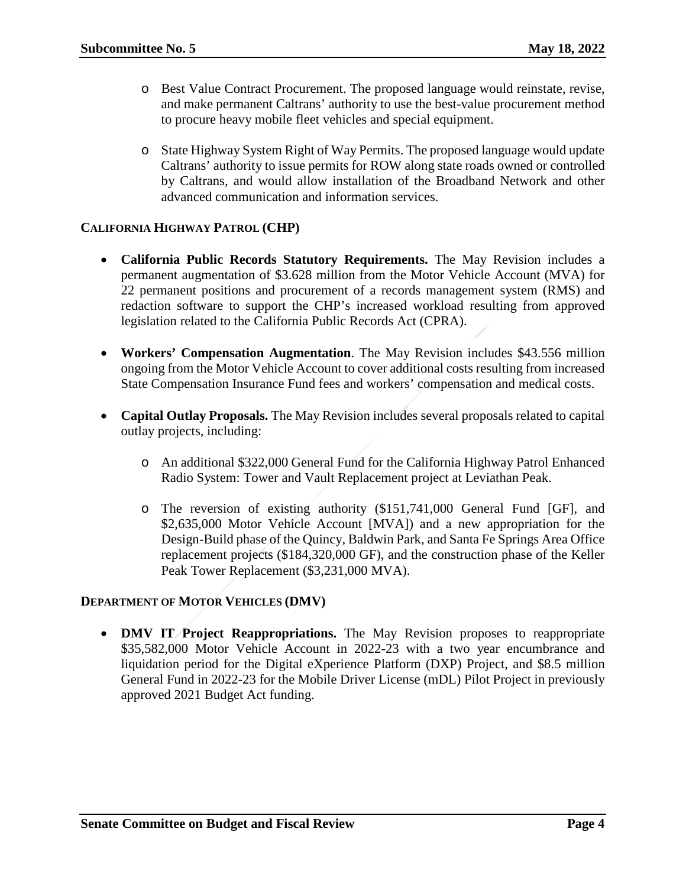- o Best Value Contract Procurement. The proposed language would reinstate, revise, and make permanent Caltrans' authority to use the best-value procurement method to procure heavy mobile fleet vehicles and special equipment.
- o State Highway System Right of Way Permits. The proposed language would update Caltrans' authority to issue permits for ROW along state roads owned or controlled by Caltrans, and would allow installation of the Broadband Network and other advanced communication and information services.

#### **CALIFORNIA HIGHWAY PATROL (CHP)**

- **California Public Records Statutory Requirements.** The May Revision includes a permanent augmentation of \$3.628 million from the Motor Vehicle Account (MVA) for 22 permanent positions and procurement of a records management system (RMS) and redaction software to support the CHP's increased workload resulting from approved legislation related to the California Public Records Act (CPRA).
- **Workers' Compensation Augmentation**. The May Revision includes \$43.556 million ongoing from the Motor Vehicle Account to cover additional costs resulting from increased State Compensation Insurance Fund fees and workers' compensation and medical costs.
- **Capital Outlay Proposals.** The May Revision includes several proposals related to capital outlay projects, including:
	- o An additional \$322,000 General Fund for the California Highway Patrol Enhanced Radio System: Tower and Vault Replacement project at Leviathan Peak.
	- o The reversion of existing authority (\$151,741,000 General Fund [GF], and \$2,635,000 Motor Vehicle Account [MVA]) and a new appropriation for the Design-Build phase of the Quincy, Baldwin Park, and Santa Fe Springs Area Office replacement projects (\$184,320,000 GF), and the construction phase of the Keller Peak Tower Replacement (\$3,231,000 MVA).

#### **DEPARTMENT OF MOTOR VEHICLES (DMV)**

• **DMV IT Project Reappropriations.** The May Revision proposes to reappropriate \$35,582,000 Motor Vehicle Account in 2022-23 with a two year encumbrance and liquidation period for the Digital eXperience Platform (DXP) Project, and \$8.5 million General Fund in 2022-23 for the Mobile Driver License (mDL) Pilot Project in previously approved 2021 Budget Act funding.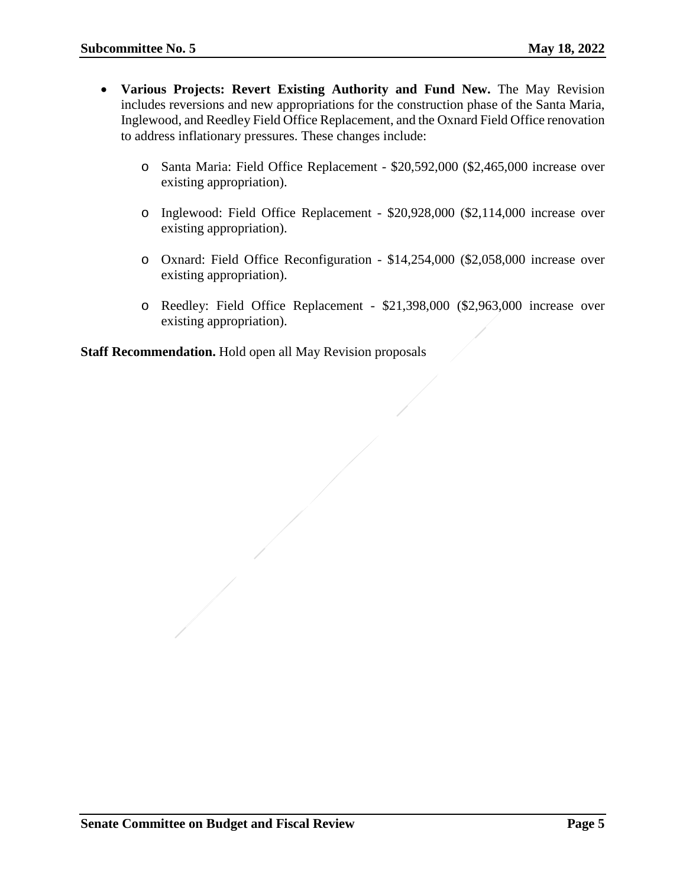- **Various Projects: Revert Existing Authority and Fund New.** The May Revision includes reversions and new appropriations for the construction phase of the Santa Maria, Inglewood, and Reedley Field Office Replacement, and the Oxnard Field Office renovation to address inflationary pressures. These changes include:
	- o Santa Maria: Field Office Replacement \$20,592,000 (\$2,465,000 increase over existing appropriation).
	- o Inglewood: Field Office Replacement \$20,928,000 (\$2,114,000 increase over existing appropriation).
	- o Oxnard: Field Office Reconfiguration \$14,254,000 (\$2,058,000 increase over existing appropriation).
	- o Reedley: Field Office Replacement \$21,398,000 (\$2,963,000 increase over existing appropriation).

**Staff Recommendation.** Hold open all May Revision proposals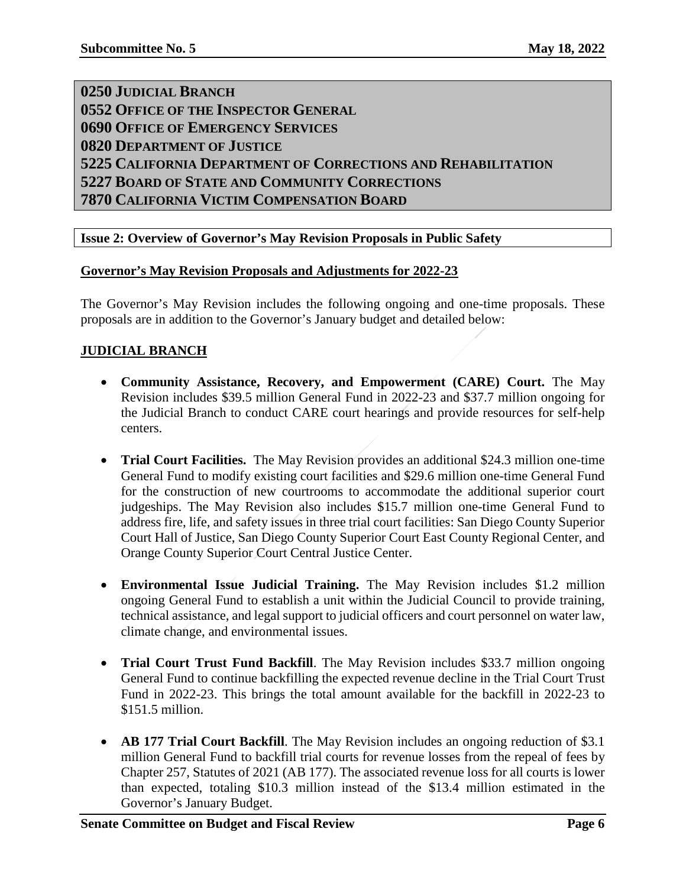<span id="page-5-4"></span><span id="page-5-3"></span><span id="page-5-2"></span><span id="page-5-1"></span><span id="page-5-0"></span> **JUDICIAL BRANCH OFFICE OF THE INSPECTOR GENERAL OFFICE OF EMERGENCY SERVICES DEPARTMENT OF JUSTICE CALIFORNIA DEPARTMENT OF CORRECTIONS AND REHABILITATION BOARD OF STATE AND COMMUNITY CORRECTIONS CALIFORNIA VICTIM COMPENSATION BOARD**

# <span id="page-5-7"></span><span id="page-5-6"></span><span id="page-5-5"></span>**Issue 2: Overview of Governor's May Revision Proposals in Public Safety**

#### **Governor's May Revision Proposals and Adjustments for 2022-23**

The Governor's May Revision includes the following ongoing and one-time proposals. These proposals are in addition to the Governor's January budget and detailed below:

#### **JUDICIAL BRANCH**

- **Community Assistance, Recovery, and Empowerment (CARE) Court.** The May Revision includes \$39.5 million General Fund in 2022-23 and \$37.7 million ongoing for the Judicial Branch to conduct CARE court hearings and provide resources for self-help centers.
- **Trial Court Facilities.** The May Revision provides an additional \$24.3 million one-time General Fund to modify existing court facilities and \$29.6 million one-time General Fund for the construction of new courtrooms to accommodate the additional superior court judgeships. The May Revision also includes \$15.7 million one-time General Fund to address fire, life, and safety issues in three trial court facilities: San Diego County Superior Court Hall of Justice, San Diego County Superior Court East County Regional Center, and Orange County Superior Court Central Justice Center.
- **Environmental Issue Judicial Training.** The May Revision includes \$1.2 million ongoing General Fund to establish a unit within the Judicial Council to provide training, technical assistance, and legal support to judicial officers and court personnel on water law, climate change, and environmental issues.
- **Trial Court Trust Fund Backfill**. The May Revision includes \$33.7 million ongoing General Fund to continue backfilling the expected revenue decline in the Trial Court Trust Fund in 2022-23. This brings the total amount available for the backfill in 2022-23 to \$151.5 million.
- **AB 177 Trial Court Backfill**. The May Revision includes an ongoing reduction of \$3.1 million General Fund to backfill trial courts for revenue losses from the repeal of fees by Chapter 257, Statutes of 2021 (AB 177). The associated revenue loss for all courts is lower than expected, totaling \$10.3 million instead of the \$13.4 million estimated in the Governor's January Budget.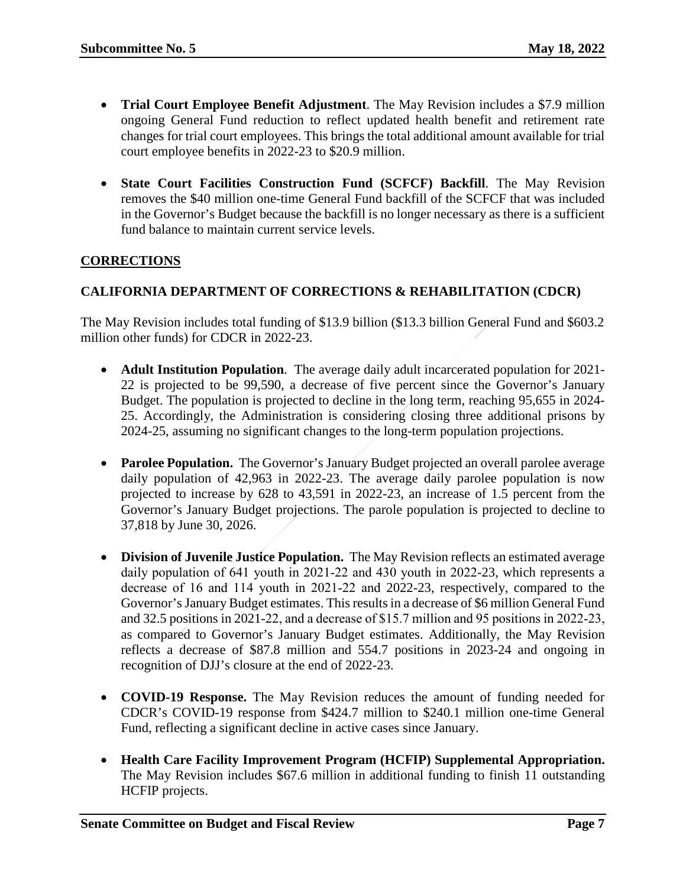- **Trial Court Employee Benefit Adjustment**. The May Revision includes a \$7.9 million ongoing General Fund reduction to reflect updated health benefit and retirement rate changes for trial court employees. This brings the total additional amount available for trial court employee benefits in 2022-23 to \$20.9 million.
- **State Court Facilities Construction Fund (SCFCF) Backfill**. The May Revision removes the \$40 million one-time General Fund backfill of the SCFCF that was included in the Governor's Budget because the backfill is no longer necessary as there is a sufficient fund balance to maintain current service levels.

# **CORRECTIONS**

# **CALIFORNIA DEPARTMENT OF CORRECTIONS & REHABILITATION (CDCR)**

The May Revision includes total funding of \$13.9 billion (\$13.3 billion General Fund and \$603.2 million other funds) for CDCR in 2022-23.

- **Adult Institution Population**. The average daily adult incarcerated population for 2021- 22 is projected to be 99,590, a decrease of five percent since the Governor's January Budget. The population is projected to decline in the long term, reaching 95,655 in 2024- 25. Accordingly, the Administration is considering closing three additional prisons by 2024-25, assuming no significant changes to the long-term population projections.
- **Parolee Population.** The Governor's January Budget projected an overall parolee average daily population of 42,963 in 2022-23. The average daily parolee population is now projected to increase by 628 to 43,591 in 2022-23, an increase of 1.5 percent from the Governor's January Budget projections. The parole population is projected to decline to 37,818 by June 30, 2026.
- **Division of Juvenile Justice Population.** The May Revision reflects an estimated average daily population of 641 youth in 2021-22 and 430 youth in 2022-23, which represents a decrease of 16 and 114 youth in 2021‑22 and 2022-23, respectively, compared to the Governor's January Budget estimates. This results in a decrease of \$6 million General Fund and 32.5 positions in 2021-22, and a decrease of \$15.7 million and 95 positions in 2022-23, as compared to Governor's January Budget estimates. Additionally, the May Revision reflects a decrease of \$87.8 million and 554.7 positions in 2023-24 and ongoing in recognition of DJJ's closure at the end of 2022-23.
- **COVID-19 Response.** The May Revision reduces the amount of funding needed for CDCR's COVID-19 response from \$424.7 million to \$240.1 million one-time General Fund, reflecting a significant decline in active cases since January.
- **Health Care Facility Improvement Program (HCFIP) Supplemental Appropriation.**  The May Revision includes \$67.6 million in additional funding to finish 11 outstanding HCFIP projects.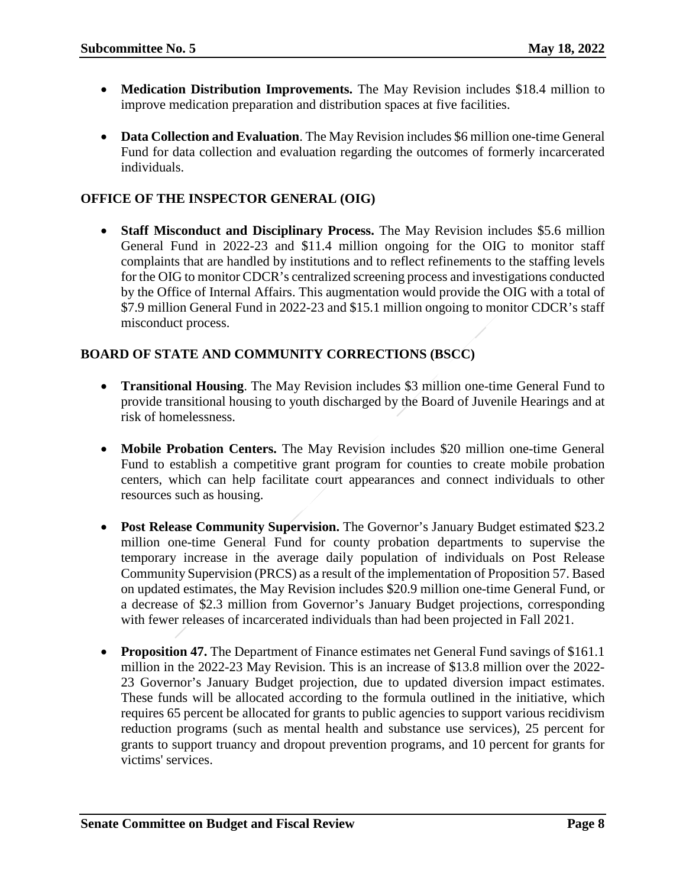- **Medication Distribution Improvements.** The May Revision includes \$18.4 million to improve medication preparation and distribution spaces at five facilities.
- **Data Collection and Evaluation**. The May Revision includes \$6 million one-time General Fund for data collection and evaluation regarding the outcomes of formerly incarcerated individuals.

# **OFFICE OF THE INSPECTOR GENERAL (OIG)**

• **Staff Misconduct and Disciplinary Process.** The May Revision includes \$5.6 million General Fund in 2022-23 and \$11.4 million ongoing for the OIG to monitor staff complaints that are handled by institutions and to reflect refinements to the staffing levels for the OIG to monitor CDCR's centralized screening process and investigations conducted by the Office of Internal Affairs. This augmentation would provide the OIG with a total of \$7.9 million General Fund in 2022-23 and \$15.1 million ongoing to monitor CDCR's staff misconduct process.

# **BOARD OF STATE AND COMMUNITY CORRECTIONS (BSCC)**

- **Transitional Housing**. The May Revision includes \$3 million one-time General Fund to provide transitional housing to youth discharged by the Board of Juvenile Hearings and at risk of homelessness.
- **Mobile Probation Centers.** The May Revision includes \$20 million one-time General Fund to establish a competitive grant program for counties to create mobile probation centers, which can help facilitate court appearances and connect individuals to other resources such as housing.
- **Post Release Community Supervision.** The Governor's January Budget estimated \$23.2 million one-time General Fund for county probation departments to supervise the temporary increase in the average daily population of individuals on Post Release Community Supervision (PRCS) as a result of the implementation of Proposition 57. Based on updated estimates, the May Revision includes \$20.9 million one-time General Fund, or a decrease of \$2.3 million from Governor's January Budget projections, corresponding with fewer releases of incarcerated individuals than had been projected in Fall 2021.
- **Proposition 47.** The Department of Finance estimates net General Fund savings of \$161.1 million in the 2022-23 May Revision. This is an increase of \$13.8 million over the 2022- 23 Governor's January Budget projection, due to updated diversion impact estimates. These funds will be allocated according to the formula outlined in the initiative, which requires 65 percent be allocated for grants to public agencies to support various recidivism reduction programs (such as mental health and substance use services), 25 percent for grants to support truancy and dropout prevention programs, and 10 percent for grants for victims' services.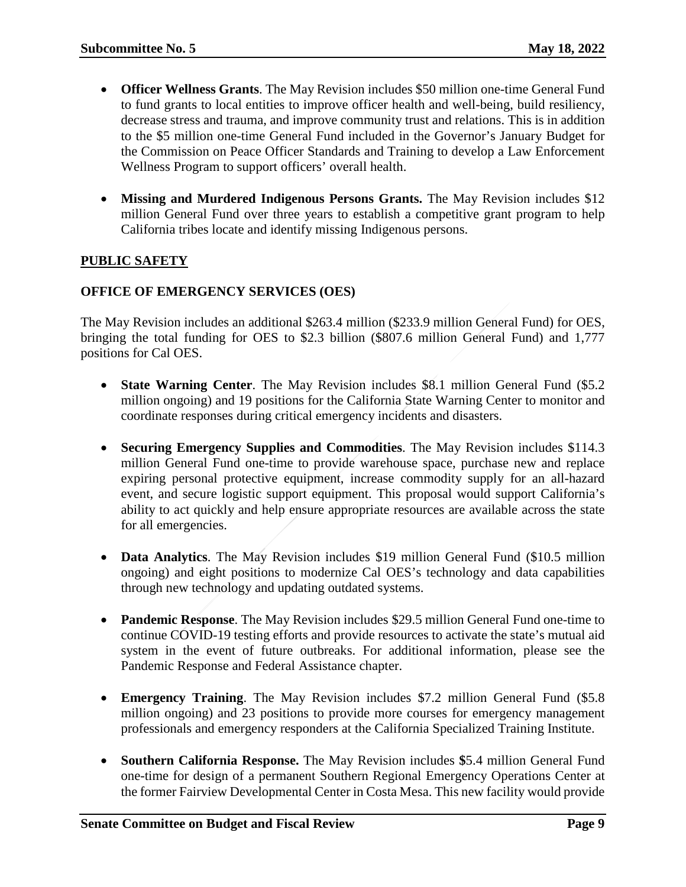- **Officer Wellness Grants**. The May Revision includes \$50 million one-time General Fund to fund grants to local entities to improve officer health and well-being, build resiliency, decrease stress and trauma, and improve community trust and relations. This is in addition to the \$5 million one-time General Fund included in the Governor's January Budget for the Commission on Peace Officer Standards and Training to develop a Law Enforcement Wellness Program to support officers' overall health.
- Missing and Murdered Indigenous Persons Grants. The May Revision includes \$12 million General Fund over three years to establish a competitive grant program to help California tribes locate and identify missing Indigenous persons.

# **PUBLIC SAFETY**

#### **OFFICE OF EMERGENCY SERVICES (OES)**

The May Revision includes an additional \$263.4 million (\$233.9 million General Fund) for OES, bringing the total funding for OES to \$2.3 billion (\$807.6 million General Fund) and 1,777 positions for Cal OES.

- **State Warning Center**. The May Revision includes \$8.1 million General Fund (\$5.2 million ongoing) and 19 positions for the California State Warning Center to monitor and coordinate responses during critical emergency incidents and disasters.
- **Securing Emergency Supplies and Commodities**. The May Revision includes \$114.3 million General Fund one-time to provide warehouse space, purchase new and replace expiring personal protective equipment, increase commodity supply for an all-hazard event, and secure logistic support equipment. This proposal would support California's ability to act quickly and help ensure appropriate resources are available across the state for all emergencies.
- **Data Analytics**. The May Revision includes \$19 million General Fund (\$10.5 million ongoing) and eight positions to modernize Cal OES's technology and data capabilities through new technology and updating outdated systems.
- **Pandemic Response**. The May Revision includes \$29.5 million General Fund one-time to continue COVID-19 testing efforts and provide resources to activate the state's mutual aid system in the event of future outbreaks. For additional information, please see the Pandemic Response and Federal Assistance chapter.
- **Emergency Training**. The May Revision includes \$7.2 million General Fund (\$5.8 million ongoing) and 23 positions to provide more courses for emergency management professionals and emergency responders at the California Specialized Training Institute.
- **Southern California Response.** The May Revision includes **\$**5.4 million General Fund one-time for design of a permanent Southern Regional Emergency Operations Center at the former Fairview Developmental Center in Costa Mesa. This new facility would provide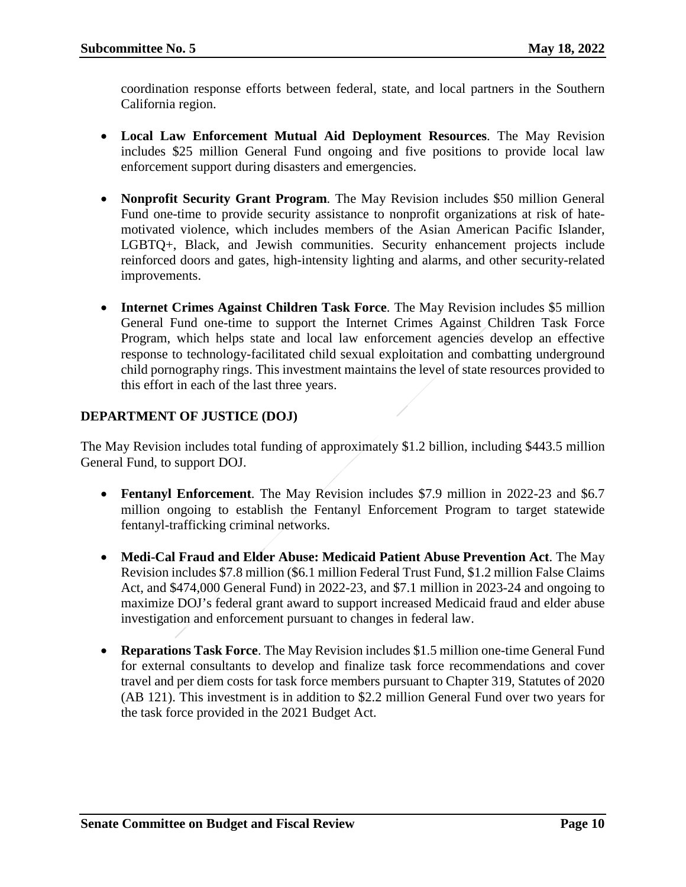coordination response efforts between federal, state, and local partners in the Southern California region.

- **Local Law Enforcement Mutual Aid Deployment Resources**. The May Revision includes \$25 million General Fund ongoing and five positions to provide local law enforcement support during disasters and emergencies.
- **Nonprofit Security Grant Program**. The May Revision includes \$50 million General Fund one-time to provide security assistance to nonprofit organizations at risk of hatemotivated violence, which includes members of the Asian American Pacific Islander, LGBTQ+, Black, and Jewish communities. Security enhancement projects include reinforced doors and gates, high-intensity lighting and alarms, and other security-related improvements.
- **Internet Crimes Against Children Task Force**. The May Revision includes \$5 million General Fund one-time to support the Internet Crimes Against Children Task Force Program, which helps state and local law enforcement agencies develop an effective response to technology-facilitated child sexual exploitation and combatting underground child pornography rings. This investment maintains the level of state resources provided to this effort in each of the last three years.

# **DEPARTMENT OF JUSTICE (DOJ)**

The May Revision includes total funding of approximately \$1.2 billion, including \$443.5 million General Fund, to support DOJ.

- **Fentanyl Enforcement**. The May Revision includes \$7.9 million in 2022-23 and \$6.7 million ongoing to establish the Fentanyl Enforcement Program to target statewide fentanyl-trafficking criminal networks.
- **Medi-Cal Fraud and Elder Abuse: Medicaid Patient Abuse Prevention Act**. The May Revision includes \$7.8 million (\$6.1 million Federal Trust Fund, \$1.2 million False Claims Act, and \$474,000 General Fund) in 2022-23, and \$7.1 million in 2023-24 and ongoing to maximize DOJ's federal grant award to support increased Medicaid fraud and elder abuse investigation and enforcement pursuant to changes in federal law.
- **Reparations Task Force**. The May Revision includes \$1.5 million one-time General Fund for external consultants to develop and finalize task force recommendations and cover travel and per diem costs for task force members pursuant to Chapter 319, Statutes of 2020 (AB 121). This investment is in addition to \$2.2 million General Fund over two years for the task force provided in the 2021 Budget Act.